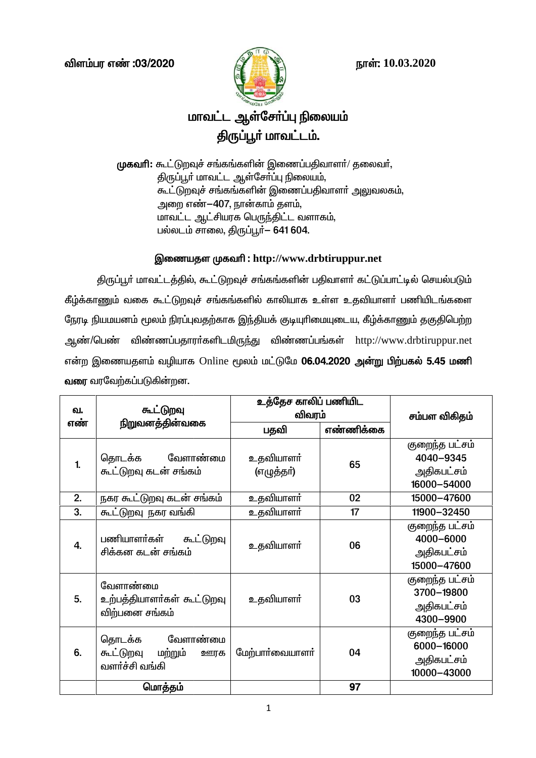



# மாவட்ட ஆள்சோ்ப்பு நிலையம் திருப்பூர் மாவட்டம்.

முகவரி: கூட்டுறவுச் சங்கங்களின் இணைப்பதிவாளர்/ தலைவர், திருப்பூர் மாவட்ட ஆள்சேர்ப்பு நிலையம், கூட்டுறவுச் சங்கங்களின் இணைப்பதிவாளர் அலுவலகம், அறை எண்-407, நான்காம் தளம், மாவட்ட ஆட்சியரக பெருந்திட்ட வளாகம், பல்லடம் சாலை, திருப்பூர்- 641 604.

## இணையதள முகவரி : http://www.drbtiruppur.net

திருப்பூர் மாவட்டத்தில், கூட்டுறவுச் சங்கங்களின் பதிவாளர் கட்டுப்பாட்டில் செயல்படும் கீழ்க்காணும் வகை கூட்டுறவுச் சங்கங்களில் காலியாக உள்ள உதவியாளா் பணியிடங்களை நேரடி நியமயனம் மூலம் நிரப்புவதற்காக இந்தியக் குடியுரிமையுடைய, கீழ்க்காணும் தகுதிபெற்ற ஆண்/பெண் விண்ணப்பதாரா்களிடமிருந்து விண்ணப்பங்கள் http://www.drbtiruppur.net என்ற இணையதளம் வழியாக Online மூலம் மட்டுமே **06.04.2020 அன்று பிற்பகல் 5.45 மணி வரை** வரவேற்கப்படுகின்றன.

| வ.<br>எண்        | கூட்டுறவு<br>நிறுவனத்தின்வகை                                        | உத்தேச காலிப் பணியிட<br>விவரம் |           | சம்பள விகிதம்                                             |
|------------------|---------------------------------------------------------------------|--------------------------------|-----------|-----------------------------------------------------------|
|                  |                                                                     | பதவி                           | எண்ணிக்கை |                                                           |
| $\mathbf{1}$     | தொடக்க வேளாண்மை<br>கூட்டுறவு கடன் சங்கம்                            | உதவியாளா்<br>(எழுத்தா்)        | 65        | குறைந்த பட்சம்<br>4040-9345<br>அதிகபட்சம்<br>16000-54000  |
| 2.               | நகர கூட்டுறவு கடன் சங்கம்                                           | உதவியாளா்                      | 02        | 15000-47600                                               |
| 3.               | கூட்டுறவு நகர வங்கி                                                 | உதவியாளா்                      | 17        | 11900-32450                                               |
| $\overline{4}$ . | பணியாளர்கள்<br>கூட்டுறவு<br>சிக்கன கடன் சங்கம்                      | உதவியாளா்                      | 06        | குறைந்த பட்சம்<br>4000-6000<br>அதிகபட்சம்<br>15000-47600  |
| 5.               | வேளாண்மை<br>உற்பத்தியாளர்கள் கூட்டுறவு<br>விற்பனை சங்கம்            | உதவியாளா்                      | 03        | குறைந்த பட்சம்<br>3700-19800<br>அதிகபட்சம்<br>4300-9900   |
| 6.               | வேளாண்மை<br>தொடக்க<br>கூட்டுறவு<br>மற்றும்<br>ஊரக<br>வளர்ச்சி வங்கி | மேற்பார்வையாளர்                | 04        | குறைந்த பட்சம்<br>6000-16000<br>அதிகபட்சம்<br>10000-43000 |
|                  | மொத்தம்                                                             |                                | 97        |                                                           |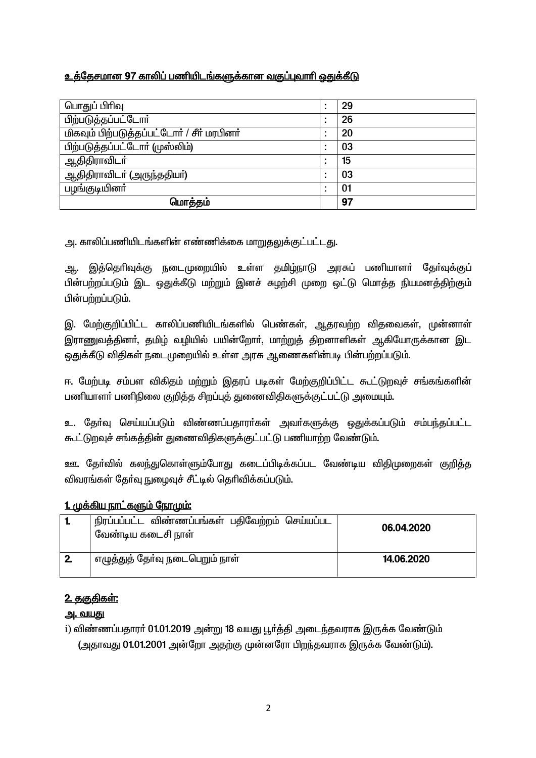## உத்தேசமான 97 காலிப் பணியிடங்களுக்கான வகுப்புவாரி ஒதுக்கீடு

| பொதுப் பிரிவு                              | ٠<br>٠                        | 29 |
|--------------------------------------------|-------------------------------|----|
| பிற்படுத்தப்பட்டோர்                        | $\blacksquare$<br>٠           | 26 |
| மிகவும் பிற்படுத்தப்பட்டோர் / சீர் மரபினர் |                               | 20 |
| பிற்படுத்தப்பட்டோர் (முஸ்லிம்)             |                               | 03 |
| ஆதிதிராவிடா்                               | ٠<br>$\overline{\phantom{a}}$ | 15 |
| ஆதிதிராவிடா் (அருந்ததியா்)                 | $\blacksquare$                | 03 |
| பழங்குடியினா்                              |                               | 01 |
| மொத்தம்                                    |                               | 97 |

<u>ு. காலிப்பணியிடங்களின் எண்ணிக்கை மாறுகலுக்குட்பட்டகு.</u>

இத்தெரிவுக்கு நடைமுறையில் உள்ள தமிழ்நாடு அரசுப் பணியாளர் தேர்வுக்குப் ஆ. பின்பற்றப்படும் இட ஒதுக்கீடு மற்றும் இனச் சுமற்சி முறை ஒட்டு மொத்த நியமனத்திற்கும் பின்பற்றப்படும்.

இ. மேற்குறிப்பிட்ட காலிப்பணியிடங்களில் பெண்கள், ஆதரவற்ற விதவைகள், முன்னாள் இராணுவத்தினர், தமிழ் வழியில் பயின்றோர், மாற்றுத் திறனாளிகள் ஆகியோருக்கான இட ஒதுக்கீடு விதிகள் நடைமுறையில் உள்ள அரசு ஆணைகளின்படி பின்பற்றப்படும்.

ஈ. மேற்படி சம்பள விகிதம் மற்றும் இதரப் படிகள் மேற்குறிப்பிட்ட கூட்டுறவுச் சங்கங்களின் பணியாளா் பணிநிலை குறித்த சிறப்புத் துணைவிதிகளுக்குட்பட்டு அமையும்.

உ. தேர்வு செய்யப்படும் விண்ணப்பதாரர்கள் அவர்களுக்கு ஒதுக்கப்படும் சம்பந்தப்பட்ட கூட்டுறவுச் சங்கத்தின் துணைவிதிகளுக்குட்பட்டு பணியாற்ற வேண்டும்.

ஊ. தேர்வில் கலந்துகொள்ளும்போது கடைப்பிடிக்கப்பட வேண்டிய விதிமுறைகள் குறித்த விவாங்கள் கேர்வு நுழைவுச் சீட்டில் தெரிவிக்கப்படும்.

## 1. முக்கிய நாட்களும் நோமும்:

|              | நிரப்பப்பட்ட விண்ணப்பங்கள் பதிவேற்றம் செய்யப்பட<br>வேண்டிய கடைசி நாள் | 06.04.2020 |
|--------------|-----------------------------------------------------------------------|------------|
| $\mathbf{2}$ | எழுத்துத் தோ்வு நடைபெறும் நாள்                                        | 14.06.2020 |

## <u>2. ககுகிகள்:</u>

## <u>அ. வயகு</u>

i) விண்ணப்பதாரா் 01.01.2019 அன்று 18 வயது பூா்த்தி அடைந்தவராக இருக்க வேண்டும் (அதாவது 01.01.2001 அன்றோ அதற்கு முன்னரோ பிறந்தவராக இருக்க வேண்டும்).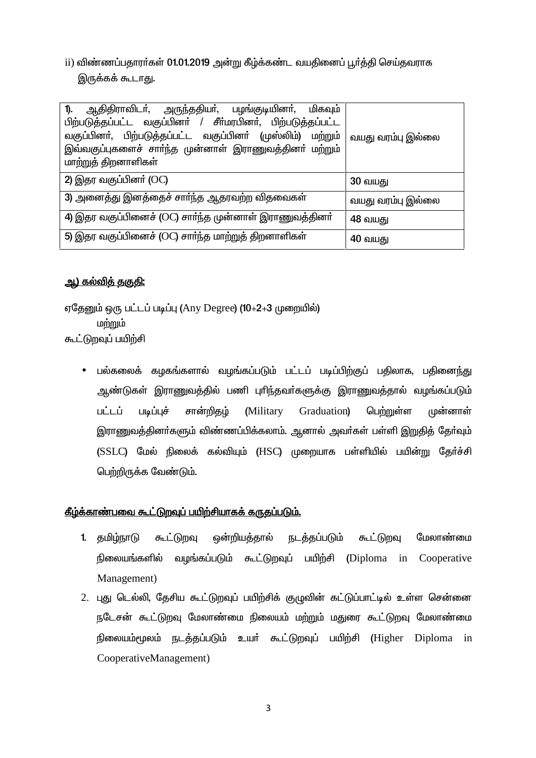ii) விண்ணப்பதாரா்கள் 01.01.2019 அன்று கீழ்க்கண்ட வயதினைப் பூா்த்தி செய்தவராக இருக்கக் கூடாது.

| ஆதிதிராவிடா், அருந்ததியா், பழங்குடியினா், மிகவும்<br>1).                                                             |                   |
|----------------------------------------------------------------------------------------------------------------------|-------------------|
| பிற்படுத்தப்பட்ட வகுப்பினா் / சீா்மரபினா், பிற்படுத்தப்பட்ட                                                          |                   |
| வகுப்பினா், பிற்படுத்தப்பட்ட வகுப்பினா் (முஸ்லிம்) மற்றும்<br>இவ்வகுப்புகளைச் சாா்ந்த முன்னாள் இராணுவத்தினா் மற்றும் | வயது வரம்பு இல்லை |
| மாற்றுத் திறனாளிகள்                                                                                                  |                   |
| 2) இதர வகுப்பினா் (OC)                                                                                               | <b>30 வயது</b>    |
| 3) அனைத்து இனத்தைச் சார்ந்த ஆதரவற்ற விதவைகள்                                                                         | வயது வரம்பு இல்லை |
| 4) இதர வகுப்பினைச் (OC) சார்ந்த முன்னாள் இராணுவத்தினா்                                                               | 48 வயது           |
| 5) இதர வகுப்பினைச் (OC) சார்ந்த மாற்றுத் திறனாளிகள்                                                                  | 40 வயது           |

## <u>ஆ) கல்விக் ககுகி:</u>

ஏதேனும் ஒரு பட்டப் படிப்பு (Any Degree) (10+2+3 முறையில்) மற்றும் கூட்டுறவுப் பயிற்சி

பல்கலைக் கழகங்களால் வழங்கப்படும் பட்டப் படிப்பிற்குப் பகிலாக, பகினைந்து  $\bullet$ ஆண்டுகள் இராணுவத்தில் பணி புரிந்தவா்களுக்கு இராணுவத்தால் வழங்கப்படும் பட்டப் படிப்புச் சான்றிகம் (Military பெற்றுள்ள Graduation) முன்னாள் இராணுவத்தினா்களும் விண்ணப்பிக்கலாம். ஆனால் அவா்கள் பள்ளி இறுதித் தோ்வும் (SSLC) மேல் நிலைக் கல்வியும் (HSC) முறையாக பள்ளியில் பயின்று கேர்ச்சி பெற்றிருக்க வேண்டும்.

## <u>கீழ்க்காண்பவை கூட்டுறவுப் பயிற்சியாகக் கருதப்படும்.</u>

- ஒன்றியத்தால் <u>நடத்தப்படும்</u> மேலாண்மை 1. குமிழ்நாடு கூட்டுறவு கூட்டுறவு நிலையங்களில் வழங்கப்படும் கூட்டுறவுப் பயிற்சி (Diploma in Cooperative Management)
- 2. புது டெல்லி, தேசிய கூட்டுறவுப் பயிற்சிக் குமுவின் கட்டுப்பாட்டில் உள்ள சென்னை நடேசன் கூட்டுறவு மேலாண்மை நிலையம் மற்றும் மதுரை கூட்டுறவு மேலாண்மை நிலையம்மூலம் நடத்தப்படும் உயர் கூட்டுறவுப் பயிற்சி (Higher Diploma in CooperativeManagement)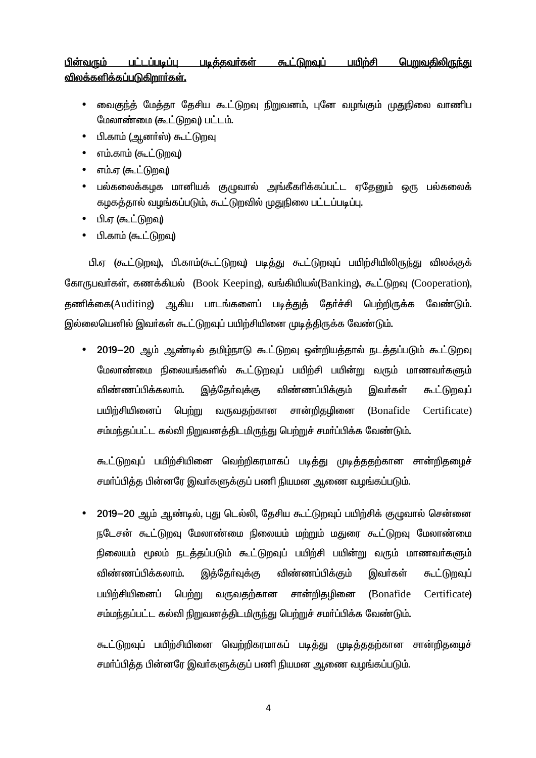#### பின்வரும் பட்டப்படிப்பு <u>படித்தவர்கள்</u> <u> கூட்டுறவுப்</u> <u>பயிற்சி</u> <u>பெறுவதிலிருந்து</u> விலக்களிக்கப்படுகிறார்கள்.

- வைகுந்த் மேக்கா கேசிய கூட்டுறவ நிறுவனம். பனே வமங்கும் முகுநிலை வாணிப  $\bullet$ மேலாண்மை (கூட்டுறவு) பட்டம்.
- பி.காம் (ஆனர்ஸ்) கூட்டுறவு  $\bullet$
- எம்.காம் (கூட்டுறவு)  $\bullet$
- எம்.ஏ (கூட்டுறவு)  $\bullet$
- பல்கலைக்கழக மானியக் குழுவால் அங்கீகரிக்கப்பட்ட ஏதேனும் ஒரு பல்கலைக்  $\bullet$ கழகத்தால் வழங்கப்படும், கூட்டுறவில் முதுநிலை பட்டப்படிப்பு.
- பி.ஏ (கூட்டுறவு)  $\bullet$
- பி.காம் (கூட்டுறவு)  $\bullet$

பி.ஏ (கூட்டுறவு), பி.காம்(கூட்டுறவு) படித்து கூட்டுறவுப் பயிற்சியிலிருந்து விலக்குக் கோருபவர்கள், கணக்கியல் (Book Keeping), வங்கியியல்(Banking), கூட்டுறவு (Cooperation), தணிக்கை(Auditing) ஆகிய பாடங்களைப் படித்துக் தேர்ச்சி பெற்றிருக்க வேண்டும். இல்லையெனில் இவர்கள் கூட்டுறவுப் பயிற்சியினை முடித்திருக்க வேண்டும்.

2019-20 ஆம் ஆண்டில் தமிழ்நாடு கூட்டுறவு ஒன்றியத்தால் நடத்தப்படும் கூட்டுறவு  $\bullet$ மேலாண்மை நிலையங்களில் கூட்டுறவுப் பயிற்சி பயின்று வரும் மாணவர்களும் விண்ணப்பிக்கலாம். இத்தேர்வுக்கு விண்ணப்பிக்கும் இவா்கள் கூட்டுறவுப் பயிற்சியினைப் பெற்று வருவகற்கான சான்றிதமினை (Bonafide Certificate) சம்மந்தப்பட்ட கல்வி நிறுவனத்திடமிருந்து பெற்றுச் சமர்ப்பிக்க வேண்டும்.

கூட்டுறவுப் பயிற்சியினை வெற்றிகரமாகப் படித்து முடித்ததற்கான சான்றிதமைச் சமா்ப்பித்த பின்னரே இவா்களுக்குப் பணி நியமன ஆணை வழங்கப்படும்.

2019-20 ஆம் ஆண்டில், புது டெல்லி, தேசிய கூட்டுறவுப் பயிற்சிக் குழுவால் சென்னை நடேசன் கூட்டுறவு மேலாண்மை நிலையம் மற்றும் மதுரை கூட்டுறவு மேலாண்மை நிலையம் மூலம் நடத்தப்படும் கூட்டுறவுப் பயிற்சி பயின்று வரும் மாணவர்களும் விண்ணப்பிக்கலாம். இக்கோ்வக்கு விண்ணப்பிக்கும் இவர்கள் கூட்டுறவுப் பயிற்சியினைப் பெற்று வருவதற்கான சான்றிகமினை (Bonafide Certificate) சம்மந்தப்பட்ட கல்வி நிறுவனத்திடமிருந்து பெற்றுச் சமர்ப்பிக்க வேண்டும்.

கூட்டுறவுப் பயிற்சியினை வெற்றிகரமாகப் படித்து முடித்ததற்கான சான்றிதமைச் சமா்ப்பித்த பின்னரே இவா்களுக்குப் பணி நியமன ஆணை வழங்கப்படும்.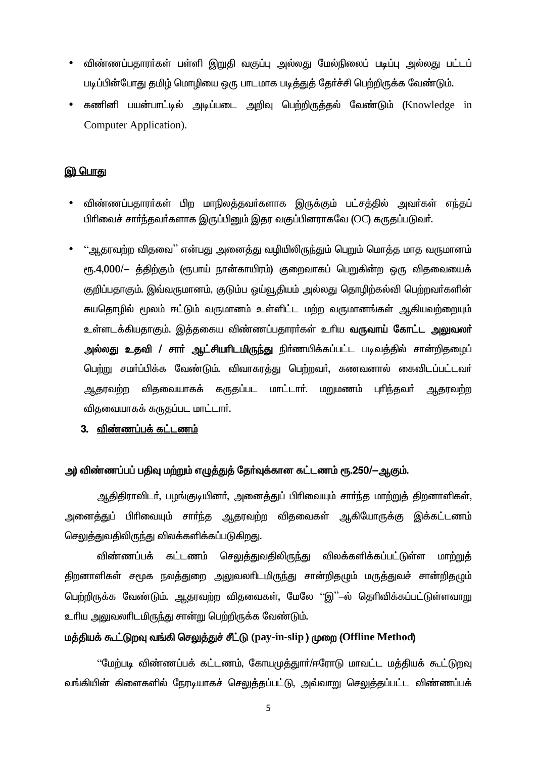- விண்ணப்பதாரா்கள் பள்ளி இறுதி வகுப்பு அல்லது மேல்நிலைப் படிப்பு அல்லது பட்டப் படிப்பின்போது தமிழ் மொழியை ஒரு பாடமாக படித்துத் தேர்ச்சி பெற்றிருக்க வேண்டும்.
- கணினி பயன்பாட்டில் அடிப்படை அறிவு பெற்றிருத்தல் வேண்டும் (Knowledge in **Computer Application**).

### இ) பொது

- விண்ணப்பதாரா்கள் பிற மாநிலத்தவா்களாக இருக்கும் பட்சத்தில் அவா்கள் எந்தப் பிரிவைச் சார்ந்தவர்களாக இருப்பினும் இதர வகுப்பினராகவே (OC) கருதப்படுவர்.
- ''ஆதரவற்ற விதவை'' என்பது அனைத்து வழியிலிருந்தும் பெறும் மொத்த மாத வருமானம் ரூ.4,000/— த்திற்கும் (ரூபாய் நான்காயிரம்) குறைவாகப் பெறுகின்ற ஒரு விதவையைக் குறிப்பதாகும். இவ்வருமானம், குடும்ப ஓய்வூதியம் அல்லது தொழிற்கல்வி பெற்றவா்களின் சுயதொழில் மூலம் ஈட்டும் வருமானம் உள்ளிட்ட மற்ற வருமானங்கள் ஆகியவற்றையும் உள்ளடக்கியதாகும். இத்தகைய விண்ணப்பதாரா்கள் உாிய **வருவாய் கோட்ட அலுவலா்** அல்லது உதவி / சாா் ஆட்சியாிடமிருந்து நிா்ணயிக்கப்பட்ட படிவத்தில் சான்றிதழைப் பெற்று சமா்ப்பிக்க வேண்டும். விவாகரத்து பெற்றவா், கணவனால் கைவிடப்பட்டவா் ஆதரவற்ற விதவையாகக் கருதப்பட மாட்டார். மறுமணம் புரிந்தவர் ஆதரவற்ற விதவையாகக் கருதப்பட மாட்டார்.
	- 3. விண்ணப்பக் கட்டணம்

## அ) விண்ணப்பப் பதிவு மற்றும் எழுத்துத் தேர்வுக்கான கட்டணம் ரூ.250/—ஆகும்.

ஆதிதிராவிடா், பழங்குடியினா், அனைத்துப் பிாிவையும் சாா்ந்த மாற்றுத் திறனாளிகள், அனைத்துப் பிரிவையும் சாா்்ந்த ஆதரவற்ற விதவைகள் ஆகியோருக்கு இக்கட்டணம் செலுத்துவதிலிருந்து விலக்களிக்கப்படுகிறது.

விண்ணப்பக் கட்டணம் ச<u>ெலுத்த</u>ுவதிலிரு<u>ந்து</u> விலக்களிக்கப்பட்டுள்ள மாற்றுக் திறனாளிகள் சமூக நலத்துறை அலுவலரிடமிருந்து சான்றிதமும் மருத்துவச் சான்றிதமும் பெற்றிருக்க வேண்டும். ஆதரவற்ற விதவைகள், மேலே ''இ''–ல் தெரிவிக்கப்பட்டுள்ளவாறு உரிய அலுவலரிடமிருந்து சான்று பெற்றிருக்க வேண்டும்.

## மத்தியக் கூட்டுறவு வங்கி செலுத்துச் சீட்டு (pay-in-slip ) முறை (Offline Method)

''மேற்படி விண்ணப்பக் கட்டணம், கோயமுத்துார்/ஈரோடு மாவட்ட மத்தியக் கூட்டுறவு வங்கியின் கிளைகளில் நேரடியாகச் செலுத்தப்பட்டு, அவ்வாறு செலுத்தப்பட்ட விண்ணப்பக்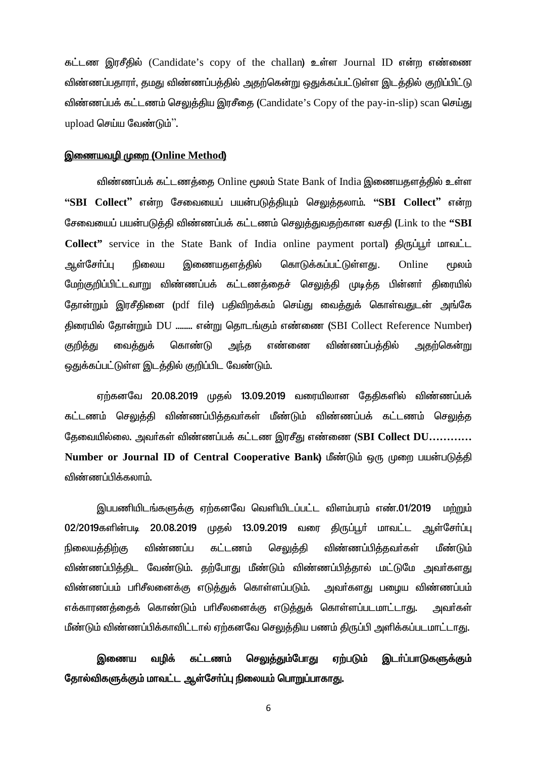கட்டண இரசீதில் (Candidate's copy of the challan) உள்ள Journal ID என்ற எண்ணை விண்ணப்பதாரா், தமது விண்ணப்பத்தில் அதற்கென்று ஒதுக்கப்பட்டுள்ள இடத்தில் குறிப்பிட்டு விண்ணப்பக் கட்டணம் செலுத்திய இரசீதை (Candidate's Copy of the pay-in-slip) scan செய்து upload செய்ய வேண்டும்".

#### இணையவழி முறை (Online Method)

விண்ணப்பக் கட்டணத்தை Online மூலம் State Bank of India இணையதளத்தில் உள்ள "SBI Collect" என்ற சேவையைப் பயன்படுத்தியும் செலுத்தலாம். "SBI Collect" என்ற சேவையைப் பயன்படுத்தி விண்ணப்பக் கட்டணம் செலுத்துவதற்கான வசதி (Link to the "SBI Collect" service in the State Bank of India online payment portal) திருப்பூர் மாவட்ட ஆள்சோப்பு இணையகளக்கில் கொடுக்கப்பட்டுள்ளது. நிலைய Online மூலம் மேற்குறிப்பிட்டவாறு விண்ணப்பக் கட்டணக்கைச் செலுக்கி முடிக்க பின்னர் கிரையில் தோன்றும் இரசீதினை (pdf file) பதிவிறக்கம் செய்து வைத்துக் கொள்வதுடன் அங்கே திரையில் தோன்றும் DU ........ என்று தொடங்கும் எண்ணை (SBI Collect Reference Number) வைத்துக் கொண்டு அந்த எண்ணை விண்ணப்பக்கில் அகற்கென்று <u>குறித்து</u> ஒதுக்கப்பட்டுள்ள இடத்தில் குறிப்பிட வேண்டும்.

ஏற்கனவே 20.08.2019 முதல் 13.09.2019 வரையிலான தேதிகளில் விண்ணப்பக் கட்டணம் செலுத்தி விண்ணப்பித்தவா்கள் மீண்டும் விண்ணப்பக் கட்டணம் செலுத்த தேவையில்லை. அவர்கள் விண்ணப்பக் கட்டண இரசீது எண்ணை (SBI Collect DU............ Number or Journal ID of Central Cooperative Bank) மீண்டும் ஒரு முறை பயன்படுத்தி விண்ணப்பிக்கலாம்.

இபபணியிடங்களுக்கு ஏற்கனவே வெளியிடப்பட்ட விளம்பரம் எண்.01/2019 மற்றும் 02/2019களின்படி முகல் 13.09.2019 வரை திருப்பூர் மாவட்ட ஆள்சேர்ப்பு 20.08.2019 விண்ணப்ப கட்டணம் செலுக்கி விண்ணப்பிக்கவர்கள் நிலையக்கிற்கு மீண்டும் விண்ணப்பித்திட வேண்டும். தற்போது மீண்டும் விண்ணப்பித்தால் மட்டுமே அவர்களது விண்ணப்பம் பரிசீலனைக்கு எடுக்குக் கொள்ளப்படும். அவர்களது பழைய விண்ணப்பம் எக்காரணக்கைக் கொண்டும் பரிசீலனைக்கு எடுக்துக் கொள்ளப்படமாட்டாது. **அவ**ர்கள் மீண்டும் விண்ணப்பிக்காவிட்டால் ஏற்கனவே செலுத்திய பணம் திருப்பி அளிக்கப்படமாட்டாது.

#### இணைய வமிக் கட்டணம் செலுக்கும்போது ஏற்படும் இடா்ப்பாடுகளுக்கும் தோல்விகளுக்கும் மாவட்ட ஆள்சோ்ப்பு நிலையம் பொறுப்பாகாது.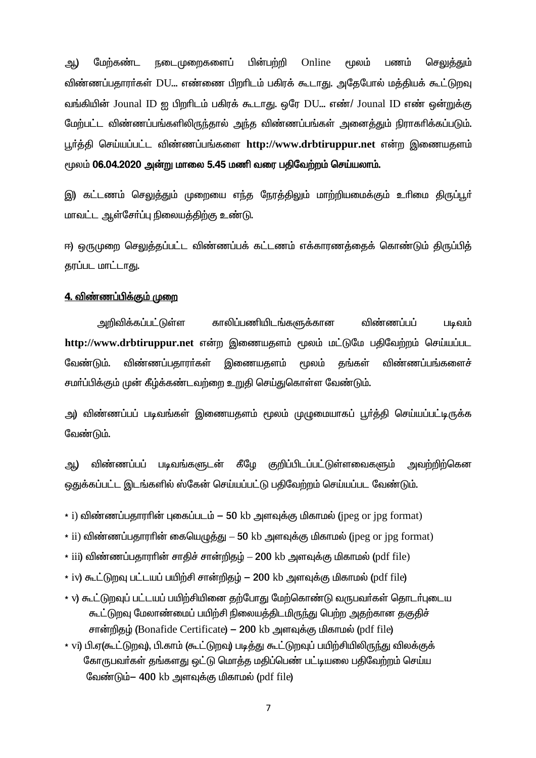Online ஆ) மேற்கண்ட நடைமுறைகளைப் பின்பற்றி மூலம் பணம் செலுத்தும் விண்ணப்பதாரர்கள் DU... எண்ணை பிறரிடம் பகிரக் கூடாது. அதேபோல் மத்தியக் கூட்டுறவு வங்கியின் Jounal ID ஐ பிறரிடம் பகிரக் கூடாது. ஒரே DU... எண்/ Jounal ID எண் ஒன்றுக்கு மேற்பட்ட விண்ணப்பங்களிலிருந்தால் அந்த விண்ணப்பங்கள் அனைத்தும் நிராகரிக்கப்படும். பூர்த்தி செய்யப்பட்ட விண்ணப்பங்களை http://www.drbtiruppur.net என்ற இணையதளம் மூலம் 06.04.2020 அன்று மாலை 5.45 மணி வரை பதிவேற்றம் செய்யலாம்.

இ) கட்டணம் செலுத்தும் முறையை எந்த நேரத்திலும் மாற்றியமைக்கும் உரிமை திருப்பூர் மாவட்ட ஆள்சோ்ப்பு நிலையத்திற்கு உண்டு.

ஈ) ஒருமுறை செலுத்தப்பட்ட விண்ணப்பக் கட்டணம் எக்காரணத்தைக் கொண்டும் திருப்பித் தரப்பட மாட்டாது.

#### <u>4. விண்ணப்பிக்கும் முறை</u>

அறிவிக்கப்பட்டுள்ள காலிப்பணியிடங்களுக்கான விண்ணப்பப் படிவம் http://www.drbtiruppur.net என்ற இணையதளம் மூலம் மட்டுமே பதிவேற்றம் செய்யப்பட விண்ணப்பகாரா்கள் இணையகளம் வேண்டும். மூலம் கங்கள் விண்ணப்பங்களைச் சமா்ப்பிக்கும் முன் கீழ்க்கண்டவற்றை உறுதி செய்துகொள்ள வேண்டும்.

அ) விண்ணப்பப் படிவங்கள் இணையதளம் மூலம் முழுமையாகப் பூர்த்தி செய்யப்பட்டிருக்க வேண்டும்.

விண்ணப்பப் படிவங்களுடன் கீழே குறிப்பிடப்பட்டுள்ளவைகளும் அவற்றிற்கென ஆ) ஒதுக்கப்பட்ட இடங்களில் ஸ்கேன் செய்யப்பட்டு பதிவேற்றம் செய்யப்பட வேண்டும்.

 $*$  i) விண்ணப்பதாரரின் புகைப்படம் - 50 kb அளவுக்கு மிகாமல் (ipeg or ipg format)

- $*$  ii) விண்ணப்பதாரரின் கையெழுத்து  $-$  50 kb அளவுக்கு மிகாமல் (jpeg or jpg format)
- $*$  iii) விண்ணப்பதாராின் சாதிச் சான்றிதழ்  $-$  200 kb அளவுக்கு மிகாமல் (pdf file)
- \* iv) கூட்டுறவு பட்டயப் பயிற்சி சான்றிதழ் 200 kb அளவுக்கு மிகாமல் (pdf file)
- \* v) கூட்டுறவுப் பட்டயப் பயிற்சியினை தற்போது மேற்கொண்டு வருபவர்கள் தொடர்புடைய கூட்டுறவு மேலாண்மைப் பயிற்சி நிலையத்திடமிருந்து பெற்ற அதற்கான தகுதிச் சான்றிதழ் (Bonafide Certificate) – 200 kb அளவுக்கு மிகாமல் (pdf file)
- \* vi) பி.ஏ(கூட்டுறவு), பி.காம் (கூட்டுறவு) படித்து கூட்டுறவுப் பயிற்சியிலிருந்து விலக்குக் கோருபவர்கள் தங்களது ஒட்டு மொத்த மதிப்பெண் பட்டியலை பதிவேற்றம் செய்ய வேண்டும்– 400 kb அளவுக்கு மிகாமல் (pdf file)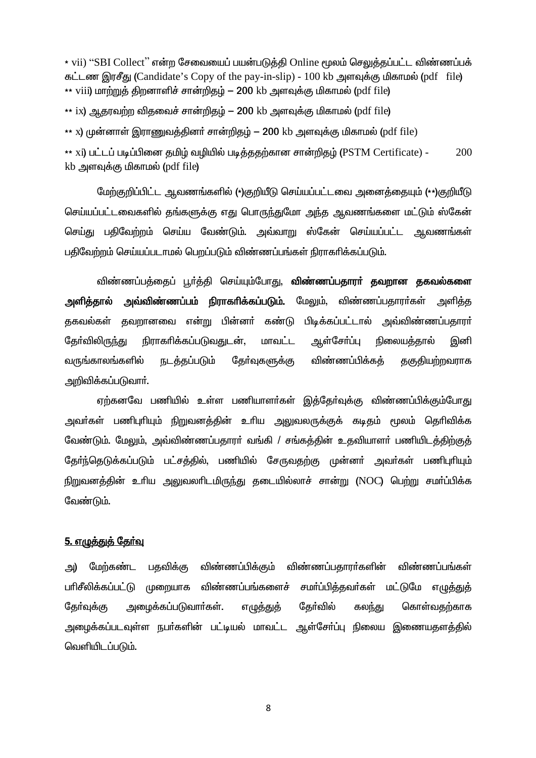\* vii) "SBI Collect" என்ற சேவையைப் பயன்படுத்தி Online மூலம் செலுத்தப்பட்ட விண்ணப்பக் கட்டண இரசீது (Candidate's Copy of the pay-in-slip) - 100 kb அளவுக்கு மிகாமல் (pdf file)  $*$  viii) மாற்றுத் திறனாளிச் சான்றிதம் – 200 kb அளவுக்கு மிகாமல் (pdf file)

\*\* ix) ஆதரவற்ற விதவைச் சான்றிதழ் — 200 kb அளவுக்கு மிகாமல் (pdf file)

\*\* x) முன்னாள் இராணுவத்தினா் சான்றிதழ் — 200 kb அளவுக்கு மிகாமல் (pdf file)

\*\* xi) பட்டப் படிப்பினை தமிழ் வழியில் படித்ததற்கான சான்றிதழ் (PSTM Certificate) -200 kb அளவுக்கு மிகாமல் (pdf file)

யேற்குறிப்பிட்ட ஆவணங்களில் (\*)குறியீடு செய்யப்பட்டவை அனைக்கையும் (\*\*)குறியீடு செய்யப்பட்டவைகளில் கங்களுக்கு எது பொருந்துமோ அந்த ஆவணங்களை மட்டும் ஸ்கேன் செய்து பதிவேற்றம் செய்ய வேண்டும். அவ்வாறு ஸ்கேன் செய்யப்பட்ட ஆவணங்கள் பதிவேற்றம் செய்யப்படாமல் பெறப்படும் விண்ணப்பங்கள் நிராகரிக்கப்படும்.

விண்ணப்பத்தைப் பூர்த்தி செய்யும்போது, **விண்ணப்பதாரர் தவறான தகவல்களை** அளித்தால் அவ்விண்ணப்பம் நிராகரிக்கப்படும். மேலும், விண்ணப்பகாரர்கள் அளிக்க குகவல்கள் கவறானவை என்று பின்னர் கண்டு பிடிக்கப்பட்டால் அவ்விண்ணப்பகாரர் நிராகரிக்கப்படுவகுடன். ஆள்சோப்ப கேர்விலிருந்து பாவட்ட நிலையக்கால் இனி வருங்காலங்களில் <u>நடத்தப்படும்</u> விண்ணப்பிக்கக் கேர்வுகளுக்கு குகுகியற்றவராக அறிவிக்கப்படுவார்.

ஏற்கனவே பணியில் உள்ள பணியாளர்கள் இக்கேர்வுக்கு விண்ணப்பிக்கும்போது அவா்கள் பணிபுாியும் நிறுவனத்தின் உாிய அலுவலருக்குக் கடிதம் மூலம் தொிவிக்க வேண்டும். மேலும், அவ்விண்ணப்பதாரா் வங்கி / சங்கக்கின் உதவியாளா் பணியிடக்கிற்குக் தோர்தெடுக்கப்படும் பட்சத்தில், பணியில் சேருவதற்கு முன்னா் அவா்கள் பணிபுரியும் நிறுவனத்தின் உரிய அலுவலரிடமிருந்து தடையில்லாச் சான்று (NOC) பெற்று சமர்ப்பிக்க வேண்டும்.

### <u>5. எழுத்துத் தேர்வு</u>

விண்ணப்பிக்கும் விண்ணப்பகாரா்களின் விண்ணப்பங்கள் ച്ച) மேற்கண்ட பகவிக்கு பரிசீலிக்கப்பட்டு முறையாக விண்ணப்பங்களைச் சமர்ப்பித்தவர்கள் மட்டுமே எழுத்துத் அமைக்கப்படுவார்கள். கோ்வில் கேர்வுக்கு எழுத்துத் கலந்து கொள்வகற்காக அமைக்கப்படவுள்ள நபர்களின் பட்டியல் மாவட்ட ஆள்சேர்ப்பு நிலைய இணையகளக்கில் வெளியிடப்படும்.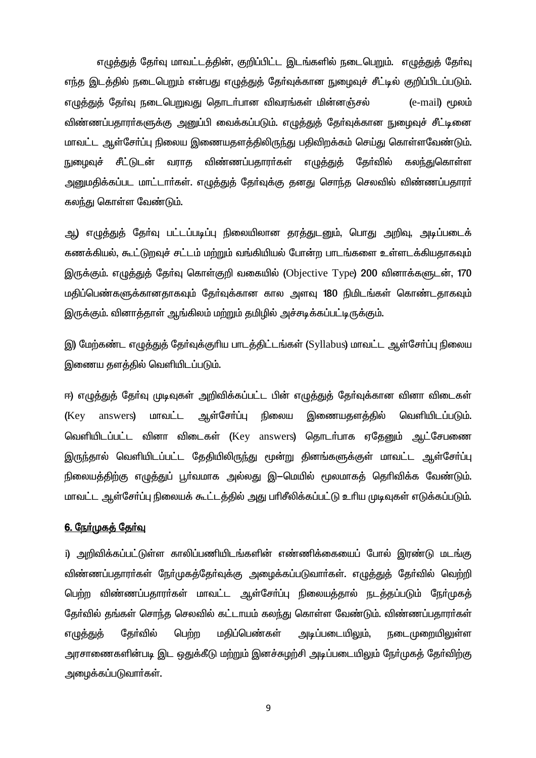எழுத்துத் தேர்வு மாவட்டத்தின், குறிப்பிட்ட இடங்களில் நடைபெறும். எழுத்துத் தேர்வு எந்த இடத்தில் நடைபெறும் என்பது எழுத்துத் தேர்வுக்கான நுழைவுச் சீட்டில் குறிப்பிடப்படும். எழுத்துத் தேர்வு நடைபெறுவது தொடர்பான விவரங்கள் மின்னஞ்சல் (e-mail) மூலம் விண்ணப்பதாரா்களுக்கு அனுப்பி வைக்கப்படும். எழுத்துத் தோ்வுக்கான நுழைவுச் சீட்டினை மாவட்ட ஆள்சோ்ப்பு நிலைய இணையதளத்திலிருந்து பதிவிறக்கம் செய்து கொள்ளவேண்டும். நுழைவுச் சீட்டுடன் வராத விண்ணப்பதாரா்கள் எழுத்துத் கேர்வில் கலந்துகொள்ள அனுமதிக்கப்பட மாட்டார்கள். எழுத்துத் தேர்வுக்கு தனது சொந்த செலவில் விண்ணப்பதாரர். கலந்து கொள்ள வேண்டும்.

ஆ) எழுத்துத் தேர்வு பட்டப்படிப்பு நிலையிலான தரத்துடனும், பொது அறிவு, அடிப்படைக் கணக்கியல், கூட்டுறவுச் சட்டம் மற்றும் வங்கியியல் போன்ற பாடங்களை உள்ளடக்கியதாகவும் இருக்கும். எழுத்துத் தேர்வு கொள்குறி வகையில் (Objective Type) 200 வினாக்களுடன், 170 மதிப்பெண்களுக்கானதாகவும் தோ்வுக்கான கால அளவு 180 நிமிடங்கள் கொண்டதாகவும் இருக்கும். வினாக்காள் ஆங்கிலம் மற்றும் தமிழில் அச்சடிக்கப்பட்டிருக்கும்.

இ) மேற்கண்ட எழுத்துத் தேர்வுக்குரிய பாடத்திட்டங்கள் (Syllabus) மாவட்ட ஆள்சேர்ப்பு நிலைய இணைய தளத்தில் வெளியிடப்படும்.

ஈ) எழுத்துத் தேர்வு முடிவுகள் அறிவிக்கப்பட்ட பின் எழுத்துத் தேர்வுக்கான வினா விடைகள் மாவட்ட ஆள்சோப்பு நிலைய இணையகளக்கில் வெளியிடப்படும். (Key answers) வெளியிடப்பட்ட வினா விடைகள் (Key answers) தொடர்பாக ஏதேனும் ஆட்சேபணை இருந்தால் வெளியிடப்பட்ட தேதியிலிருந்து மூன்று தினங்களுக்குள் மாவட்ட ஆள்சோ்ப்பு நிலையத்திற்கு எழுத்துப் பூர்வமாக அல்லது இ—மெயில் மூலமாகத் தெரிவிக்க வேண்டும். மாவட்ட ஆள்சோ்ப்பு நிலையக் கூட்டத்தில் அது பாிசீலிக்கப்பட்டு உரிய முடிவுகள் எடுக்கப்படும்.

#### 6. நேர்முகத் தேர்வு

i) அறிவிக்கப்பட்டுள்ள காலிப்பணியிடங்களின் எண்ணிக்கையைப் போல் இரண்டு மடங்கு விண்ணப்பதாரா்கள் நோ்முகத்தோ்வுக்கு அழைக்கப்படுவாா்கள். எழுத்துத் தோ்வில் வெற்றி பெற்ற விண்ணப்பதாரா்கள் மாவட்ட ஆள்சோ்ப்பு நிலையத்தால் நடத்தப்படும் நோ்முகத் தேர்வில் தங்கள் சொந்த செலவில் கட்டாயம் கலந்து கொள்ள வேண்டும். விண்ணப்பதாரர்கள் கோ்வில் மதிப்பெண்கள் அடிப்படையிலும், எழுத்துத் பெற்ற ருடை<sub>(</sub>முறையிலுள்ள அரசாணைகளின்படி இட ஒதுக்கீடு மற்றும் இனச்சுமற்சி அடிப்படையிலும் நேர்முகக் கேர்விற்கு அழைக்கப்படுவார்கள்.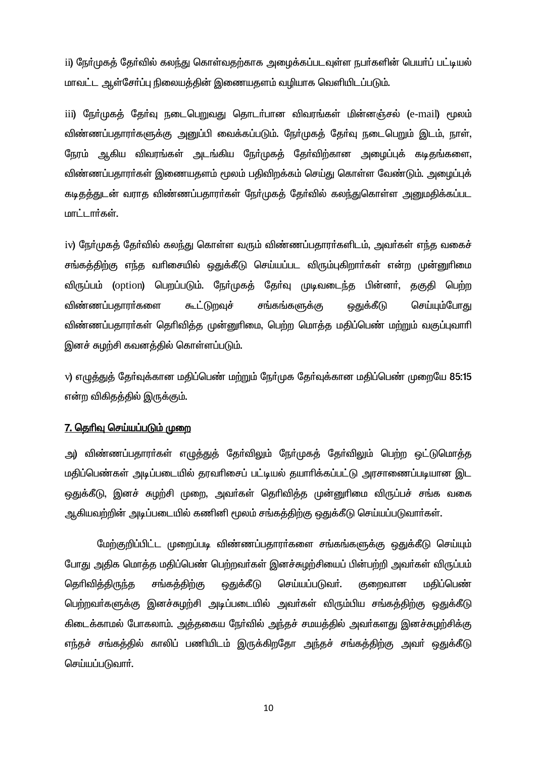ii) நேர்முகத் தேர்வில் கலந்து கொள்வதற்காக அழைக்கப்படவுள்ள நபர்களின் பெயர்ப் பட்டியல் மாவட்ட ஆள்சோ்ப்பு நிலையத்தின் இணையதளம் வழியாக வெளியிடப்படும்.

iii) நேர்முகத் தேர்வு நடைபெறுவது தொடர்பான விவரங்கள் மின்னஞ்சல் (e-mail) மூலம் விண்ணப்பதாரா்களுக்கு அனுப்பி வைக்கப்படும். நோ்முகக் கோ்வு நடைபெறும் இடம், நாள், நேரம் ஆகிய விவரங்கள் அடங்கிய நேர்முகத் தேர்விற்கான அழைப்புக் கடிதங்களை, விண்ணப்பதாரா்கள் இணையதளம் மூலம் பதிவிறக்கம் செய்து கொள்ள வேண்டும். அமைப்புக் கடிதத்துடன் வராத விண்ணப்பதாரர்கள் நேர்முகத் தேர்வில் கலந்துகொள்ள அறுமதிக்கப்பட மாட்டார்கள்.

iv) நேர்முகத் தேர்வில் கலந்து கொள்ள வரும் விண்ணப்பதாரர்களிடம், அவர்கள் எந்த வகைச் சங்கத்திற்கு எந்த வரிசையில் ஒதுக்கீடு செய்யப்பட விரும்புகிறார்கள் என்ற முன்னுரிமை விருப்பம் (option) பெறப்படும். நோ்முகத் தோ்வு முடிவடைந்த பின்னா், தகுதி பெற்ற ஒதுக்கீடு விண்ணப்பகாரா்களை கூட்டுறவுச் சங்கங்களுக்கு செய்யும்போகு விண்ணப்பதாரா்கள் தெரிவித்த முன்னுரிமை, பெற்ற மொத்த மதிப்பெண் மற்றும் வகுப்புவாரி இனச் சுமற்சி கவனத்தில் கொள்ளப்படும்.

v) எழுத்துத் தேர்வுக்கான மதிப்பெண் மற்றும் நேர்முக தேர்வுக்கான மதிப்பெண் முறையே 85:15 என்ற விகிதத்தில் இருக்கும்.

#### <u> 7. தெரிவு செய்யப்படும் முறை</u>

அ) விண்ணப்பதாரா்கள் எழுத்துத் தோ்விலும் நோ்முகத் தோ்விலும் பெற்ற ஒட்டுமொத்த மதிப்பெண்கள் அடிப்படையில் தரவரிசைப் பட்டியல் தயாரிக்கப்பட்டு அரசாணைப்படியான இட ஒதுக்கீடு, இனச் சுழற்சி முறை, அவர்கள் தெரிவித்த முன்னுரிமை விருப்பச் சங்க வகை ஆகியவற்றின் அடிப்படையில் கணினி மூலம் சங்கத்திற்கு ஒதுக்கீடு செய்யப்படுவார்கள்.

மேற்குறிப்பிட்ட முறைப்படி விண்ணப்பதாரா்களை சங்கங்களுக்கு ஒதுக்கீடு செய்யும் போது அதிக மொத்த மதிப்பெண் பெற்றவர்கள் இனச்சுழற்சியைப் பின்பற்றி அவர்கள் விருப்பம் தெரிவித்திருந்த சங்கத்திற்கு <u>ஒது</u>க்கீடு செய்யப்படுவர். குறைவான மதிப்பெண் பெற்றவர்களுக்கு இனச்சுழற்சி அடிப்படையில் அவர்கள் விரும்பிய சங்கத்திற்கு ஒதுக்கீடு கிடைக்காமல் போகலாம். அக்ககைய நேர்வில் அந்தச் சமயக்கில் அவர்களது இனச்சுமற்சிக்கு எந்தச் சங்கத்தில் காலிப் பணியிடம் இருக்கிறதோ அந்தச் சங்கத்திற்கு அவர் ஒதுக்கீடு செய்யப்படுவார்.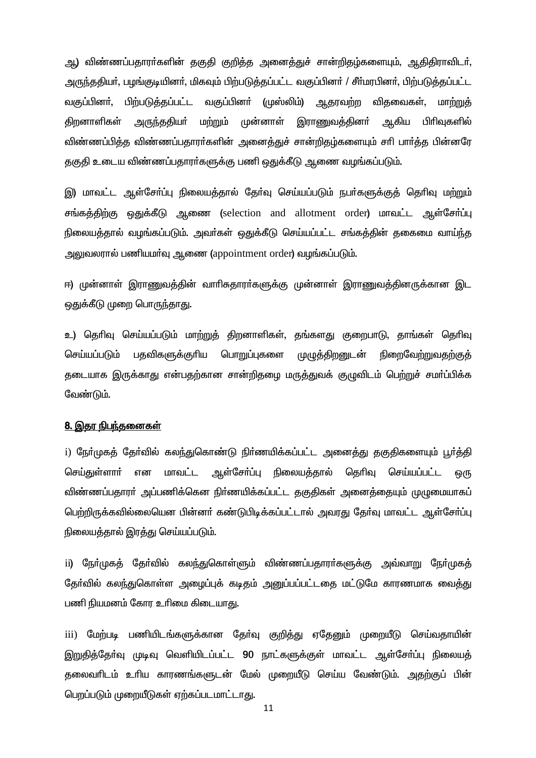ஆ) விண்ணப்பதாரா்களின் தகுதி குறித்த அனைத்துச் சான்றிதழ்களையும், ஆதிதிராவிடா். அருந்ததியர், பழங்குடியினர், மிகவும் பிற்படுத்தப்பட்ட வகுப்பினர் / சீர்மரபினர், பிற்படுத்தப்பட்ட பிற்படுத்தப்பட்ட வகுப்பினா் (முஸ்லிம்) வகுப்பினர். ஆதரவற்ற விதவைகள், மாற்றுத் ஆகிய கிறனாளிகள் அருந்ததியா் மற்றும் முன்னாள் இராணுவக்கினா் பிரிவகளில் விண்ணப்பித்த விண்ணப்பதாரா்களின் அனைத்துச் சான்றிதழ்களையும் சாி பாா்த்த பின்னரே தகுதி உடைய விண்ணப்பதாரா்களுக்கு பணி ஒதுக்கீடு ஆணை வழங்கப்படும்.

இ) மாவட்ட ஆள்சோ்ப்பு நிலையத்தால் தோ்வு செய்யப்படும் நபா்களுக்குத் தொிவு மற்றும் சங்கத்திற்கு ஒதுக்கீடு ஆணை (selection and allotment order) மாவட்ட ஆள்சோ்ப்பு நிலையத்தால் வழங்கப்படும். அவர்கள் ஒதுக்கீடு செய்யப்பட்ட சங்கத்தின் தகைமை வாய்ந்த அலுவலரால் பணியமா்வு ஆணை (appointment order) வழங்கப்படும்.

ஈ) முன்னாள் இராணுவத்தின் வாரிசுதாரா்களுக்கு முன்னாள் இராணுவத்தினருக்கான இட ஒதுக்கீடு முறை பொருந்தாது.

உ) தெரிவு செய்யப்படும் மாற்றுத் திறனாளிகள், தங்களது குறைபாடு, தாங்கள் தெரிவு பதவிகளுக்குரிய செய்யப்படும் பொறுப்புகளை முழுத்திறனுடன் <u>நிறைவேற்றுவகற்குக்</u> தடையாக இருக்காது என்பதற்கான சான்றிதமை மருத்துவக் குமுவிடம் பெற்றுச் சமாப்பிக்க வேண்டும்.

#### <u>8. இதர நிபந்தனைகள்</u>

i) நோ்முகத் தோ்வில் கலந்துகொண்டு நிா்ணயிக்கப்பட்ட அனைத்து தகுதிகளையும் பூா்த்தி ஆள்சோ்ப்பு செய்துள்ளாா் என மாவட்ட நிலையக்கால் தெரிவு செய்யப்பட்ட ஒரு விண்ணப்பதாரா் அப்பணிக்கென நிா்ணயிக்கப்பட்ட தகுதிகள் அனைத்தையும் முழுமையாகப் பெற்றிருக்கவில்லையென பின்னர் கண்டுபிடிக்கப்பட்டால் அவரது தேர்வு மாவட்ட ஆள்சேர்ப்பு நிலையத்தால் இரத்து செய்யப்படும்.

ii) நோ்முகத் தோ்வில் கலந்துகொள்ளும் விண்ணப்பதாரா்களுக்கு அவ்வாறு நோ்முகத் தோர்வில் கலந்துகொள்ள அமைப்புக் கடிதம் அனுப்பப்பட்டகை மட்டுமே காரணமாக வைத்து பணி நியமனம் கோர உரிமை கிடையாது.

 $\overline{\text{iii}}$ மேற்படி பணியிடங்களுக்கான தேர்வு குறித்து ஏதேனும் முறையீடு செய்வதாயின் இறுதித்தேர்வு முடிவு வெளியிடப்பட்ட 90 நாட்களுக்குள் மாவட்ட ஆள்சேர்ப்பு நிலையத் தலைவரிடம் உரிய காரணங்களுடன் மேல் முறையீடு செய்ய வேண்டும். அதற்குப் பின் பெறப்படும் முறையீடுகள் ஏற்கப்படமாட்டாது.